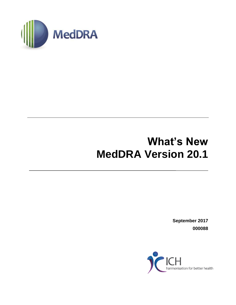

# **What's New MedDRA Version 20.1**

**September 2017 000088**

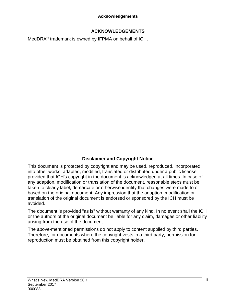## **ACKNOWLEDGEMENTS**

MedDRA® trademark is owned by IFPMA on behalf of ICH.

# **Disclaimer and Copyright Notice**

This document is protected by copyright and may be used, reproduced, incorporated into other works, adapted, modified, translated or distributed under a public license provided that ICH's copyright in the document is acknowledged at all times. In case of any adaption, modification or translation of the document, reasonable steps must be taken to clearly label, demarcate or otherwise identify that changes were made to or based on the original document. Any impression that the adaption, modification or translation of the original document is endorsed or sponsored by the ICH must be avoided.

The document is provided "as is" without warranty of any kind. In no event shall the ICH or the authors of the original document be liable for any claim, damages or other liability arising from the use of the document.

The above-mentioned permissions do not apply to content supplied by third parties. Therefore, for documents where the copyright vests in a third party, permission for reproduction must be obtained from this copyright holder.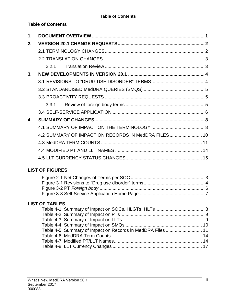# **Table of Contents**

| 1.           |     |                                                     |  |
|--------------|-----|-----------------------------------------------------|--|
| 2.           |     |                                                     |  |
|              |     |                                                     |  |
|              |     |                                                     |  |
|              | 221 |                                                     |  |
| 3.           |     |                                                     |  |
|              |     |                                                     |  |
|              |     |                                                     |  |
|              |     |                                                     |  |
|              |     |                                                     |  |
|              |     |                                                     |  |
| $\mathbf{A}$ |     |                                                     |  |
|              |     |                                                     |  |
|              |     | 4.2 SUMMARY OF IMPACT ON RECORDS IN MedDRA FILES 10 |  |
|              |     |                                                     |  |
|              |     |                                                     |  |
|              |     |                                                     |  |

## **LIST OF FIGURES**

# **LIST OF TABLES**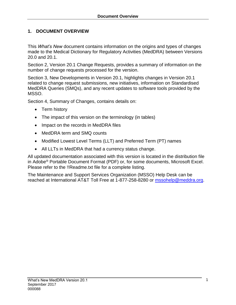# <span id="page-3-0"></span>**1. DOCUMENT OVERVIEW**

This *What's New* document contains information on the origins and types of changes made to the Medical Dictionary for Regulatory Activities (MedDRA) between Versions 20.0 and 20.1.

Section 2, Version 20.1 Change Requests, provides a summary of information on the number of change requests processed for the version.

Section 3, New Developments in Version 20.1, highlights changes in Version 20.1 related to change request submissions, new initiatives, information on Standardised MedDRA Queries (SMQs), and any recent updates to software tools provided by the MSSO.

Section 4, Summary of Changes, contains details on:

- Term history
- The impact of this version on the terminology (in tables)
- Impact on the records in MedDRA files
- MedDRA term and SMQ counts
- Modified Lowest Level Terms (LLT) and Preferred Term (PT) names
- All LLTs in MedDRA that had a currency status change.

All updated documentation associated with this version is located in the distribution file in Adobe® Portable Document Format (PDF) or, for some documents, Microsoft Excel. Please refer to the !!Readme.txt file for a complete listing.

The Maintenance and Support Services Organization (MSSO) Help Desk can be reached at International AT&T Toll Free at 1-877-258-8280 or [mssohelp@meddra.org.](mailto:mssohelp@meddra.org)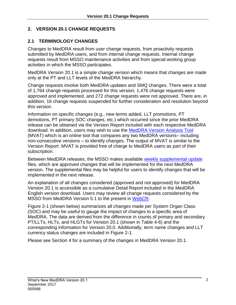# <span id="page-4-0"></span>**2. VERSION 20.1 CHANGE REQUESTS**

## <span id="page-4-1"></span>**2.1 TERMINOLOGY CHANGES**

Changes to MedDRA result from user change requests, from proactivity requests submitted by MedDRA users, and from internal change requests. Internal change requests result from MSSO maintenance activities and from special working group activities in which the MSSO participates.

MedDRA Version 20.1 is a simple change version which means that changes are made only at the PT and LLT levels of the MedDRA hierarchy.

Change requests involve both MedDRA updates and SMQ changes. There were a total of 1,764 change requests processed for this version; 1,476 change requests were approved and implemented, and 272 change requests were not approved. There are, in addition, 16 change requests suspended for further consideration and resolution beyond this version.

Information on specific changes (e.g., new terms added, LLT promotions, PT demotions, PT primary SOC changes, etc.) which occurred since the prior MedDRA release can be obtained via the Version Report included with each respective MedDRA download. In addition, users may wish to use the [MedDRA Version Analysis Tool](https://www.meddra.org/versioning) (MVAT) which is an online tool that compares any two MedDRA versions– including non-consecutive versions – to identify changes. The output of MVAT is similar to the Version Report. MVAT is provided free of charge to MedDRA users as part of their subscription.

Between MedDRA releases, the MSSO makes available [weekly supplemental update](http://www.meddra.org/downloads) files, which are approved changes that will be implemented for the next MedDRA version. The supplemental files may be helpful for users to identify changes that will be implemented in the next release.

An explanation of all changes considered (approved and not approved) for MedDRA Version 20.1 is accessible as a cumulative Detail Report included in the MedDRA English version download. Users may review all change requests considered by the MSSO from MedDRA Version 5.1 to the present in [WebCR.](https://mssotools.com/webcr/)

Figure 2-1 (shown below) summarizes all changes made per System Organ Class (SOC) and may be useful to gauge the impact of changes to a specific area of MedDRA. The data are derived from the difference in counts of primary and secondary PT/LLTs, HLTs, and HLGTs for Version 20.1 (shown in Table 4-6) and the corresponding information for Version 20.0. Additionally, term name changes and LLT currency status changes are included in Figure 2-1.

Please see Section 4 for a summary of the changes in MedDRA Version 20.1.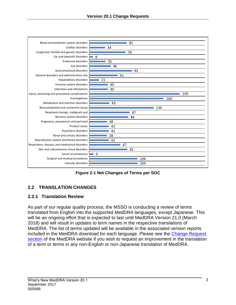

**Figure 2-1 Net Changes of Terms per SOC**

# <span id="page-5-2"></span><span id="page-5-0"></span>**2.2 TRANSLATION CHANGES**

## <span id="page-5-1"></span>**2.2.1 Translation Review**

As part of our regular quality process, the MSSO is conducting a review of terms translated from English into the supported MedDRA languages, except Japanese. This will be an ongoing effort that is expected to last until MedDRA Version 21.0 (March 2018) and will result in updates to term names in the respective translations of MedDRA. The list of terms updated will be available in the associated version reports included in the MedDRA download for each language. Please see the [Change Request](https://www.meddra.org/how-to-use/change-requests)  [section](https://www.meddra.org/how-to-use/change-requests) of the MedDRA website if you wish to request an improvement in the translation of a term or terms in any non-English or non-Japanese translation of MedDRA.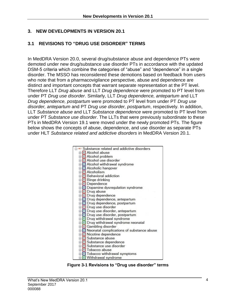## <span id="page-6-0"></span>**3. NEW DEVELOPMENTS IN VERSION 20.1**

## <span id="page-6-1"></span>**3.1 REVISIONS TO "DRUG USE DISORDER" TERMS**

In MedDRA Version 20.0, several drug/substance abuse and dependence PTs were demoted under new drug/substance use disorder PTs in accordance with the updated DSM-5 criteria which combine the categories of "abuse" and "dependence" in a single disorder. The MSSO has reconsidered these demotions based on feedback from users who note that from a pharmacovigilance perspective, abuse and dependence are distinct and important concepts that warrant separate representation at the PT level. Therefore LLT *Drug abuse* and LLT *Drug dependence* were promoted to PT level from under PT *Drug use disorder*. Similarly, LLT *Drug dependence, antepartum* and LLT *Drug dependence, postpartum* were promoted to PT level from under PT *Drug use disorder, antepartum* and PT *Drug use disorder, postpartum*, respectively. In addition, LLT *Substance abuse* and LLT *Substance dependence* were promoted to PT level from under PT *Substance use disorder*. The LLTs that were previously subordinate to these PTs in MedDRA Version 19.1 were moved under the newly promoted PTs. The figure below shows the concepts of abuse, dependence, and use disorder as separate PTs under HLT *Substance related and addictive disorders* in MedDRA Version 20.1.



<span id="page-6-2"></span>**Figure 3-1 Revisions to "Drug use disorder" terms**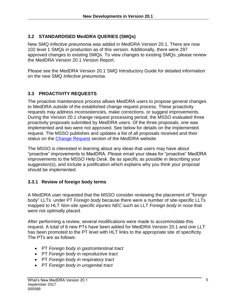## <span id="page-7-0"></span>**3.2 STANDARDISED MedDRA QUERIES (SMQs)**

New SMQ *Infective pneumonia* was added in MedDRA Version 20.1. There are now 102 level 1 SMQs in production as of this version. Additionally, there were 297 approved changes to existing SMQs. To view changes to existing SMQs, please review the MedDRA Version 20.1 Version Report.

Please see the MedDRA Version 20.1 SMQ Introductory Guide for detailed information on the new SMQ *Infective pneumonia*.

## <span id="page-7-1"></span>**3.3 PROACTIVITY REQUESTS**

The proactive maintenance process allows MedDRA users to propose general changes to MedDRA outside of the established change request process. These proactivity requests may address inconsistencies, make corrections, or suggest improvements. During the Version 20.1 change request processing period, the MSSO evaluated three proactivity proposals submitted by MedDRA users. Of the three proposals, one was implemented and two were not approved. See below for details on the implemented request. The MSSO publishes and updates a list of all proposals received and their status on the [Change Request](http://www.meddra.org/how-to-use/change-requests) section of the MedDRA website.

The MSSO is interested in learning about any ideas that users may have about "proactive" improvements to MedDRA. Please email your ideas for "proactive" MedDRA improvements to the MSSO Help Desk. Be as specific as possible in describing your suggestion(s), and include a justification which explains why you think your proposal should be implemented.

## <span id="page-7-2"></span>**3.3.1 Review of foreign body terms**

A MedDRA user requested that the MSSO consider reviewing the placement of "foreign body" LLTs under PT *Foreign body* because there were a number of site-specific LLTs mapped to HLT *Non-site specific injuries NEC* such as LLT *Foreign body in nose* that were not optimally placed*.*

After performing a review, several modifications were made to accommodate this request. A total of 6 new PTs have been added for MedDRA Version 20.1 and one LLT has been promoted to the PT level with HLT links to the appropriate site of specificity. The PTs are as follows:

- PT *Foreign body in gastrointestinal tract*
- PT *Foreign body in reproductive tract*
- PT *Foreign body in respiratory tract*
- PT *Foreign body in urogenital tract*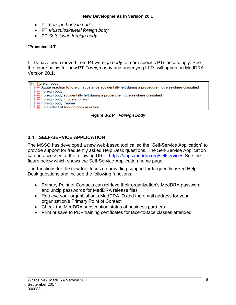- PT *Foreign body in ear\**
- PT *Musculoskeletal foreign body*
- PT *Soft tissue foreign body*

#### **\*Promoted LLT**

LLTs have been moved from PT *Foreign body* to more specific PTs accordingly. See the figure below for how PT *Foreign body* and underlying LLTs will appear in MedDRA Version 20.1.

| ∏⊟ <mark>ख</mark> Foreign body                                                                     |  |
|----------------------------------------------------------------------------------------------------|--|
| Acute reaction to foreign substance accidentally left during a procedure, not elsewhere classified |  |
| — <u>ur</u> Foreign body                                                                           |  |
| Foreign body accidentally left during a procedure, not elsewhere classified                        |  |
| Foreign body in posterior wall                                                                     |  |
| -ur Foreign body trauma                                                                            |  |
| Late effect of foreign body in orifice                                                             |  |
|                                                                                                    |  |

**Figure 3-2 PT** *Foreign body*

# <span id="page-8-1"></span><span id="page-8-0"></span>**3.4 SELF-SERVICE APPLICATION**

The MSSO has developed a new web-based tool called the "Self-Service Application" to provide support for frequently asked Help Desk questions. The Self-Service Application can be accessed at the following URL: [https://apps.meddra.org/selfservice/.](https://apps.meddra.org/selfservice/) See the figure below which shows the Self-Service Application home page.

The functions for the new tool focus on providing support for frequently asked Help Desk questions and include the following functions:

- Primary Point of Contacts can retrieve their organization's MedDRA password and unzip passwords for MedDRA release files
- Retrieve your organization's MedDRA ID and the email address for your organization's Primary Point of Contact
- Check the MedDRA subscription status of business partners
- Print or save to PDF training certificates for face-to-face classes attended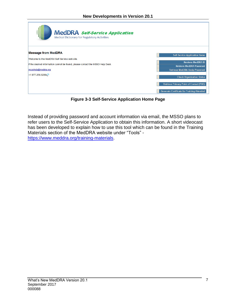| <b>MedDRA</b> Self-Service Application<br>Medical Dictionary for Regulatory Activities                                                                                              |                                                                                                                                               |
|-------------------------------------------------------------------------------------------------------------------------------------------------------------------------------------|-----------------------------------------------------------------------------------------------------------------------------------------------|
| <b>Message from MedDRA</b><br>Welcome to the MedDRA Self-Service web site.<br>If the desired information cannot be found, please contact the MSSO Help Desk.<br>mssohelp@meddra.org | <b>Self-Service Application Home</b><br><b>Retrieve MedDRA ID</b><br><b>Retrieve MedDRA Password</b><br><b>Retrieve MedDRA Unzip Password</b> |
| +1 877.258.8280.8                                                                                                                                                                   | <b>Check Organization Status</b><br><b>Retrieve Primary Point of Contact (POC)</b><br><b>Generate Certificate for Training Attended</b>       |

**Figure 3-3 Self-Service Application Home Page**

<span id="page-9-0"></span>Instead of providing password and account information via email, the MSSO plans to refer users to the Self-Service Application to obtain this information. A short videocast has been developed to explain how to use this tool which can be found in the Training Materials section of the MedDRA website under "Tools" [https://www.meddra.org/training-materials.](https://www.meddra.org/training-materials)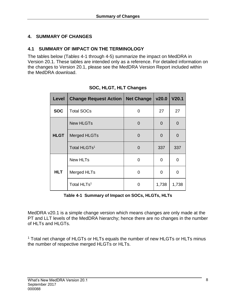# <span id="page-10-0"></span>**4. SUMMARY OF CHANGES**

#### <span id="page-10-1"></span>**4.1 SUMMARY OF IMPACT ON THE TERMINOLOGY**

The tables below (Table*s* 4-1 through 4-5) summarize the impact on MedDRA in Version 20.1. These tables are intended only as a reference. For detailed information on the changes to Version 20.1, please see the MedDRA Version Report included within the MedDRA download.

| Level       | <b>Change Request Action</b> | <b>Net Change</b> | v20.0    | V <sub>20.1</sub> |
|-------------|------------------------------|-------------------|----------|-------------------|
| <b>SOC</b>  | <b>Total SOCs</b>            | 0                 | 27       | 27                |
|             | <b>New HLGTs</b>             | $\Omega$          | $\Omega$ | 0                 |
| <b>HLGT</b> | Merged HLGTs                 | 0                 | $\Omega$ | 0                 |
|             | Total HLGTs <sup>1</sup>     | $\Omega$          | 337      | 337               |
|             | <b>New HLTs</b>              | 0                 | 0        | 0                 |
| <b>HLT</b>  | Merged HLTs                  | O                 | 0        | O                 |
|             | Total HLTs <sup>1</sup>      | O                 | 1,738    | 1,738             |

|  | SOC, HLGT, HLT Changes |
|--|------------------------|
|  |                        |

**Table 4-1 Summary of Impact on SOCs, HLGTs, HLTs**

<span id="page-10-2"></span>MedDRA v20.1 is a simple change version which means changes are only made at the PT and LLT levels of the MedDRA hierarchy; hence there are no changes in the number of HLTs and HLGTs.

<sup>1</sup> Total net change of HLGTs or HLTs equals the number of new HLGTs or HLTs minus the number of respective merged HLGTs or HLTs.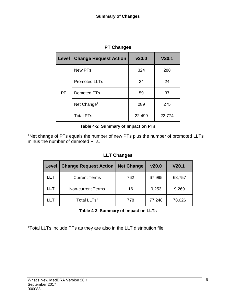| Level     | <b>Change Request Action</b> | v20.0  | V20.1  |
|-----------|------------------------------|--------|--------|
|           | <b>New PTs</b>               | 324    | 288    |
|           | <b>Promoted LLTs</b>         | 24     | 24     |
| <b>PT</b> | <b>Demoted PTs</b>           | 59     | 37     |
|           | Net Change <sup>1</sup>      | 289    | 275    |
|           | <b>Total PTs</b>             | 22,499 | 22,774 |

# **PT Changes**

#### **Table 4-2 Summary of Impact on PTs**

<span id="page-11-0"></span><sup>1</sup>Net change of PTs equals the number of new PTs plus the number of promoted LLTs minus the number of demoted PTs.

## **LLT Changes**

| Level      | <b>Change Request Action</b> | <b>Net Change</b> | v20.0  | V20.1  |
|------------|------------------------------|-------------------|--------|--------|
| <b>LLT</b> | <b>Current Terms</b>         | 762               | 67,995 | 68,757 |
| <b>LLT</b> | <b>Non-current Terms</b>     | 16                | 9,253  | 9,269  |
| LLT        | Total LLTs <sup>1</sup>      | 778               | 77,248 | 78,026 |

#### **Table 4-3 Summary of Impact on LLTs**

<span id="page-11-1"></span><sup>1</sup>Total LLTs include PTs as they are also in the LLT distribution file.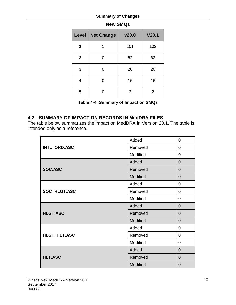| Level        | <b>Net Change</b> | v20.0          | V20.1          |
|--------------|-------------------|----------------|----------------|
|              | 1                 | 101            | 102            |
| $\mathbf{2}$ | ი                 | 82             | 82             |
| 3            | ი                 | 20             | 20             |
| 4            |                   | 16             | 16             |
| 5            |                   | $\overline{2}$ | $\overline{2}$ |

## **New SMQs**

| Table 4-4 Summary of Impact on SMQs |  |  |  |
|-------------------------------------|--|--|--|
|                                     |  |  |  |

#### <span id="page-12-1"></span><span id="page-12-0"></span>**4.2 SUMMARY OF IMPACT ON RECORDS IN MedDRA FILES**

The table below summarizes the impact on MedDRA in Version 20.1. The table is intended only as a reference.

|                 | Added    | $\mathbf 0$    |
|-----------------|----------|----------------|
| INTL_ORD.ASC    | Removed  | $\mathbf 0$    |
|                 | Modified | $\mathbf 0$    |
|                 | Added    | $\overline{0}$ |
| SOC.ASC         | Removed  | $\overline{0}$ |
|                 | Modified | $\overline{0}$ |
|                 | Added    | $\mathbf 0$    |
| SOC_HLGT.ASC    | Removed  | $\mathbf 0$    |
|                 | Modified | $\overline{0}$ |
|                 | Added    | $\overline{0}$ |
| <b>HLGT.ASC</b> | Removed  | $\overline{0}$ |
|                 | Modified | $\overline{0}$ |
|                 | Added    | $\mathbf 0$    |
| HLGT_HLT.ASC    | Removed  | $\mathbf 0$    |
|                 | Modified | $\mathbf 0$    |
|                 | Added    | $\overline{0}$ |
| <b>HLT.ASC</b>  | Removed  | $\mathbf 0$    |
|                 | Modified | $\overline{0}$ |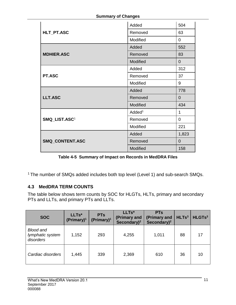|                           | Added              | 504            |
|---------------------------|--------------------|----------------|
| HLT_PT.ASC                | Removed            | 63             |
|                           | Modified           | 0              |
|                           | Added              | 552            |
| <b>MDHIER.ASC</b>         | Removed            | 83             |
|                           | Modified           | $\overline{0}$ |
|                           | Added              | 312            |
| PT.ASC                    | Removed            | 37             |
|                           | Modified           | 9              |
|                           | Added              | 778            |
| <b>LLT.ASC</b>            | Removed            | $\overline{0}$ |
|                           | Modified           | 434            |
|                           | Added <sup>1</sup> | 1              |
| SMQ_LIST.ASC <sup>1</sup> | Removed            | $\overline{0}$ |
|                           | Modified           | 221            |
|                           | Added              | 1,823          |
| SMQ_CONTENT.ASC           | Removed            | $\overline{0}$ |
|                           | Modified           | 158            |

**Table 4-5 Summary of Impact on Records in MedDRA Files**

<span id="page-13-1"></span><sup>1</sup> The number of SMQs added includes both top level (Level 1) and sub-search SMQs.

# <span id="page-13-0"></span>**4.3 MedDRA TERM COUNTS**

The table below shows term counts by SOC for HLGTs, HLTs, primary and secondary PTs and LLTs, and primary PTs and LLTs.

| <b>SOC</b>                                        | LLTs*<br>$(Primary)^1$ | <b>PTs</b><br>(Primary) <sup>1</sup> | LLTs*<br>(Primary and<br>Secondary $)^2$ | <b>PTs</b><br>(Primary and<br>Secondary $)^2$ | HLTS <sup>3</sup> | HLGTs <sup>3</sup> |
|---------------------------------------------------|------------------------|--------------------------------------|------------------------------------------|-----------------------------------------------|-------------------|--------------------|
| <b>Blood and</b><br>lymphatic system<br>disorders | 1,152                  | 293                                  | 4,255                                    | 1,011                                         | 88                | 17                 |
| Cardiac disorders                                 | 1,445                  | 339                                  | 2,369                                    | 610                                           | 36                | 10                 |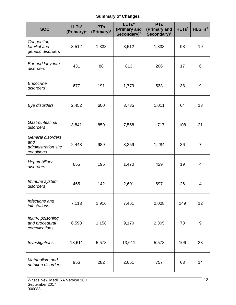| <b>SOC</b>                                                    | LLTs*<br>(Primary) <sup>1</sup> | <b>PTs</b><br>(Primary) <sup>1</sup> | LLTs*<br>(Primary and<br>Secondary) <sup>2</sup> | <b>PTs</b><br>(Primary and<br>Secondary $)^2$ | HLTs <sup>3</sup> | HLGTs <sup>3</sup> |
|---------------------------------------------------------------|---------------------------------|--------------------------------------|--------------------------------------------------|-----------------------------------------------|-------------------|--------------------|
| Congenital,<br>familial and<br>genetic disorders              | 3,512                           | 1,338                                | 3,512                                            | 1,338                                         | 98                | 19                 |
| Ear and labyrinth<br>disorders                                | 431                             | 88                                   | 813                                              | 206                                           | 17                | 6                  |
| Endocrine<br>disorders                                        | 677                             | 191                                  | 1,779                                            | 533                                           | 38                | 9                  |
| Eye disorders                                                 | 2,452                           | 600                                  | 3,735                                            | 1,011                                         | 64                | 13                 |
| Gastrointestinal<br>disorders                                 | 3,841                           | 859                                  | 7,558                                            | 1,717                                         | 108               | 21                 |
| General disorders<br>and<br>administration site<br>conditions | 2,443                           | 989                                  | 3,259                                            | 1,284                                         | 36                | $\overline{7}$     |
| Hepatobiliary<br>disorders                                    | 655                             | 195                                  | 1,470                                            | 429                                           | 19                | 4                  |
| Immune system<br>disorders                                    | 465                             | 142                                  | 2,601                                            | 697                                           | 26                | 4                  |
| Infections and<br>infestations                                | 7,113                           | 1,916                                | 7,461                                            | 2,008                                         | 149               | 12                 |
| Injury, poisoning<br>and procedural<br>complications          | 6,598                           | 1,158                                | 9,170                                            | 2,305                                         | 78                | $\boldsymbol{9}$   |
| Investigations                                                | 13,611                          | 5,578                                | 13,611                                           | 5,578                                         | 106               | 23                 |
| Metabolism and<br>nutrition disorders                         | 956                             | 282                                  | 2,651                                            | 757                                           | 63                | 14                 |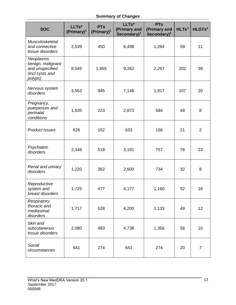| <b>SOC</b>                                                                      | LLTs*<br>(Primary) <sup>1</sup> | <b>PTs</b><br>(Primary) <sup>1</sup> | LLTs*<br>(Primary and<br>Secondary) <sup>2</sup> | <b>PTs</b><br>(Primary and<br>Secondary $)^2$ | HLTS <sup>3</sup> | HLGTs <sup>3</sup> |
|---------------------------------------------------------------------------------|---------------------------------|--------------------------------------|--------------------------------------------------|-----------------------------------------------|-------------------|--------------------|
| Musculoskeletal<br>and connective<br>tissue disorders                           | 2,539                           | 450                                  | 6,498                                            | 1,264                                         | 59                | 11                 |
| Neoplasms<br>benign, malignant<br>and unspecified<br>(incl cysts and<br>polyps) | 8,545                           | 1,955                                | 9,262                                            | 2,257                                         | 202               | 39                 |
| Nervous system<br>disorders                                                     | 3,553                           | 945                                  | 7,146                                            | 1,917                                         | 107               | 20                 |
| Pregnancy,<br>puerperium and<br>perinatal<br>conditions                         | 1,635                           | 223                                  | 2,873                                            | 584                                           | 48                | 8                  |
| Product issues                                                                  | 626                             | 152                                  | 633                                              | 156                                           | 21                | $\overline{2}$     |
| Psychiatric<br>disorders                                                        | 2,348                           | 518                                  | 3,191                                            | 757                                           | 76                | 23                 |
| Renal and urinary<br>disorders                                                  | 1,220                           | 352                                  | 2,600                                            | 734                                           | 32                | 8                  |
| Reproductive<br>system and<br>breast disorders                                  | 1,725                           | 477                                  | 4,177                                            | 1,160                                         | 52                | 16                 |
| Respiratory,<br>thoracic and<br>mediastinal<br>disorders                        | 1,717                           | 528                                  | 4,200                                            | 1,133                                         | 49                | 12                 |
| Skin and<br>subcutaneous<br>tissue disorders                                    | 2,080                           | 493                                  | 4,738                                            | 1,356                                         | 56                | 10                 |
| Social<br>circumstances                                                         | 641                             | 274                                  | 641                                              | 274                                           | 20                | $\overline{7}$     |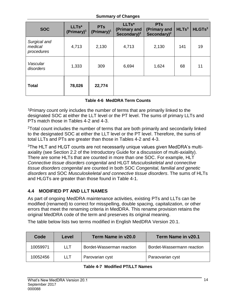| <b>SOC</b>                            | LLTs*<br>(Primary) <sup>1</sup> | <b>PTs</b><br>(Primary) <sup>1</sup> | LLTs*<br>(Primary and<br>Secondary $)^2$ | <b>PTs</b><br>(Primary and<br>Secondary) <sup>2</sup> | HLTS <sup>3</sup> | HLGTs <sup>3</sup> |
|---------------------------------------|---------------------------------|--------------------------------------|------------------------------------------|-------------------------------------------------------|-------------------|--------------------|
| Surgical and<br>medical<br>procedures | 4,713                           | 2,130                                | 4,713                                    | 2,130                                                 | 141               | 19                 |
| Vascular<br>disorders                 | 1,333                           | 309                                  | 6,694                                    | 1,624                                                 | 68                | 11                 |
| <b>Total</b>                          | 78,026                          | 22,774                               |                                          |                                                       |                   |                    |

#### **Table 4-6 MedDRA Term Counts**

<span id="page-16-1"></span><sup>1</sup>Primary count only includes the number of terms that are primarily linked to the designated SOC at either the LLT level or the PT level. The sums of primary LLTs and PTs match those in Tables 4-2 and 4-3.

<sup>2</sup>Total count includes the number of terms that are both primarily and secondarily linked to the designated SOC at either the LLT level or the PT level. Therefore, the sums of total LLTs and PTs are greater than those in Tables 4-2 and 4-3.

3The HLT and HLGT counts are not necessarily unique values given MedDRA's multiaxiality (see Section 2.2 of the Introductory Guide for a discussion of multi-axiality). There are some HLTs that are counted in more than one SOC. For example, HLT *Connective tissue disorders congenital* and HLGT *Musculoskeletal and connective tissue disorders congenital* are counted in both SOC *Congenital, familial and genetic disorders* and SOC *Musculoskeletal and connective tissue disorders*. The sums of HLTs and HLGTs are greater than those found in Table 4-1.

# <span id="page-16-0"></span>**4.4 MODIFIED PT AND LLT NAMES**

As part of ongoing MedDRA maintenance activities, existing PTs and LLTs can be modified (renamed) to correct for misspelling, double spacing, capitalization, or other errors that meet the renaming criteria in MedDRA. This rename provision retains the original MedDRA code of the term and preserves its original meaning.

The table below lists two terms modified in English MedDRA Version 20.1.

<span id="page-16-2"></span>

| Code     | Level | Term Name in v20.0        | Term Name in y20.1         |
|----------|-------|---------------------------|----------------------------|
| 10059971 | ∣∣⊤   | Bordet-Wasserman reaction | Bordet-Wassermann reaction |
| 10052456 | LLT   | Parovarian cyst           | Paraovarian cyst           |

#### **Table 4-7 Modified PT/LLT Names**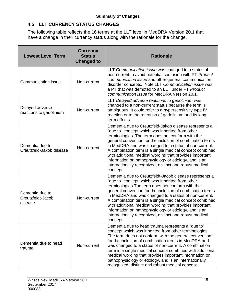# <span id="page-17-0"></span>**4.5 LLT CURRENCY STATUS CHANGES**

The following table reflects the 16 terms at the LLT level in MedDRA Version 20.1 that have a change in their currency status along with the rationale for the change.

| <b>Lowest Level Term</b>                        | <b>Currency</b><br><b>Status</b><br><b>Changed to</b> | <b>Rationale</b>                                                                                                                                                                                                                                                                                                                                                                                                                                                                                                                          |  |
|-------------------------------------------------|-------------------------------------------------------|-------------------------------------------------------------------------------------------------------------------------------------------------------------------------------------------------------------------------------------------------------------------------------------------------------------------------------------------------------------------------------------------------------------------------------------------------------------------------------------------------------------------------------------------|--|
| Communication issue                             | Non-current                                           | LLT Communication issue was changed to a status of<br>non-current to avoid potential confusion with PT Product<br>communication issue and other general communication<br>disorder concepts. Note LLT Communication issue was<br>a PT that was demoted to an LLT under PT Product<br>communication issue for MedDRA Version 20.1.                                                                                                                                                                                                          |  |
| Delayed adverse<br>reactions to gadolinium      | Non-current                                           | LLT Delayed adverse reactions to gadolinium was<br>changed to a non-current status because the term is<br>ambiguous. It could refer to a hypersensitivity type IV<br>reaction or to the retention of gadolinium and its long<br>term effects.                                                                                                                                                                                                                                                                                             |  |
| Dementia due to<br>Creutzfeld-Jakob disease     | Non-current                                           | Dementia due to Creutzfeld-Jakob disease represents a<br>"due to" concept which was inherited from other<br>terminologies. The term does not conform with the<br>general convention for the inclusion of combination terms<br>in MedDRA and was changed to a status of non-current.<br>A combination term is a single medical concept combined<br>with additional medical wording that provides important<br>information on pathophysiology or etiology, and is an<br>internationally recognized, distinct and robust medical<br>concept. |  |
| Dementia due to<br>Creutzfeldt-Jacob<br>disease | Non-current                                           | Dementia due to Creutzfeldt-Jacob disease represents a<br>"due to" concept which was inherited from other<br>terminologies The term does not conform with the<br>general convention for the inclusion of combination terms<br>in MedDRA and was changed to a status of non-current.<br>A combination term is a single medical concept combined<br>with additional medical wording that provides important<br>information on pathophysiology or etiology, and is an<br>internationally recognized, distinct and robust medical<br>concept. |  |
| Dementia due to head<br>trauma                  | Non-current                                           | Dementia due to head trauma represents a "due to"<br>concept which was inherited from other terminologies.<br>The term does not conform with the general convention<br>for the inclusion of combination terms in MedDRA and<br>was changed to a status of non-current. A combination<br>term is a single medical concept combined with additional<br>medical wording that provides important information on<br>pathophysiology or etiology, and is an internationally<br>recognized, distinct and robust medical concept.                 |  |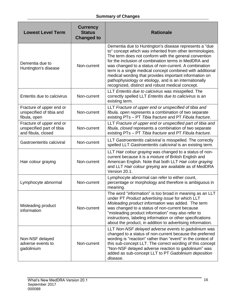| <b>Lowest Level Term</b>                                                    | <b>Currency</b><br><b>Status</b><br><b>Changed to</b> | <b>Rationale</b>                                                                                                                                                                                                                                                                                                                                                                                                                                                                                                                   |
|-----------------------------------------------------------------------------|-------------------------------------------------------|------------------------------------------------------------------------------------------------------------------------------------------------------------------------------------------------------------------------------------------------------------------------------------------------------------------------------------------------------------------------------------------------------------------------------------------------------------------------------------------------------------------------------------|
| Dementia due to<br>Huntington's disease                                     | Non-current                                           | Dementia due to Huntington's disease represents a "due<br>to" concept which was inherited from other terminologies.<br>The term does not conform with the general convention<br>for the inclusion of combination terms in MedDRA and<br>was changed to a status of non-current. A combination<br>term is a single medical concept combined with additional<br>medical wording that provides important information on<br>pathophysiology or etiology, and is an internationally<br>recognized, distinct and robust medical concept. |
| Enteritis due to calcivirus                                                 | Non-current                                           | LLT Enteritis due to calcivirus was misspelled. The<br>correctly spelled LLT Enteritis due to calicivirus is an<br>existing term.                                                                                                                                                                                                                                                                                                                                                                                                  |
| Fracture of upper end or<br>unspecified of tibia and<br>fibula, open        | Non-current                                           | LLT Fracture of upper end or unspecified of tibia and<br>fibula, open represents a combination of two separate<br>existing PTs - PT Tibia fracture and PT Fibula fracture.                                                                                                                                                                                                                                                                                                                                                         |
| Fracture of upper end or<br>unspecified part of tibia<br>and fibula, closed | Non-current                                           | LLT Fracture of upper end or unspecified part of tibia and<br>fibula, closed represents a combination of two separate<br>existing PTs - PT Tibia fracture and PT Fibula fracture.                                                                                                                                                                                                                                                                                                                                                  |
| Gastroenteritis calciviral                                                  | Non-current                                           | LLT Gastroenteritis calciviral is misspelled. The correctly<br>spelled LLT Gastroenteritis caliciviral is an existing term.                                                                                                                                                                                                                                                                                                                                                                                                        |
| Hair colour graying                                                         | Non-current                                           | LLT Hair colour graying was changed to a status of non-<br>current because it is a mixture of British English and<br>American English. Note that both LLT Hair color graying<br>and LLT Hair colour greying are available as of MedDRA<br>Version 20.1.                                                                                                                                                                                                                                                                            |
| Lymphocyte abnormal                                                         | Non-current                                           | Lymphocyte abnormal can refer to either count,<br>percentage or morphology and therefore is ambiguous in<br>meaning.                                                                                                                                                                                                                                                                                                                                                                                                               |
| Misleading product<br>information                                           | Non-current                                           | The word "information" is too broad in meaning as an LLT<br>under PT Product advertising issue for which LLT<br>Misleading product information was added. The term<br>was changed to a status of non-current because<br>"misleading product information" may also refer to<br>instructions, labeling information or other specifications<br>about the product, in addition to advertising information.                                                                                                                             |
| Non-NSF delayed<br>adverse events to<br>gadolinium                          | Non-current                                           | LLT Non-NSF delayed adverse events to gadolinium was<br>changed to a status of non-current because the preferred<br>wording is "reaction" rather than "event" in the context of<br>this sub-concept LLT. The correct wording of this concept<br>"Non-NSF delayed adverse reaction to gadolinium" was<br>added as sub-concept LLT to PT Gadolinium deposition<br>disease.                                                                                                                                                           |